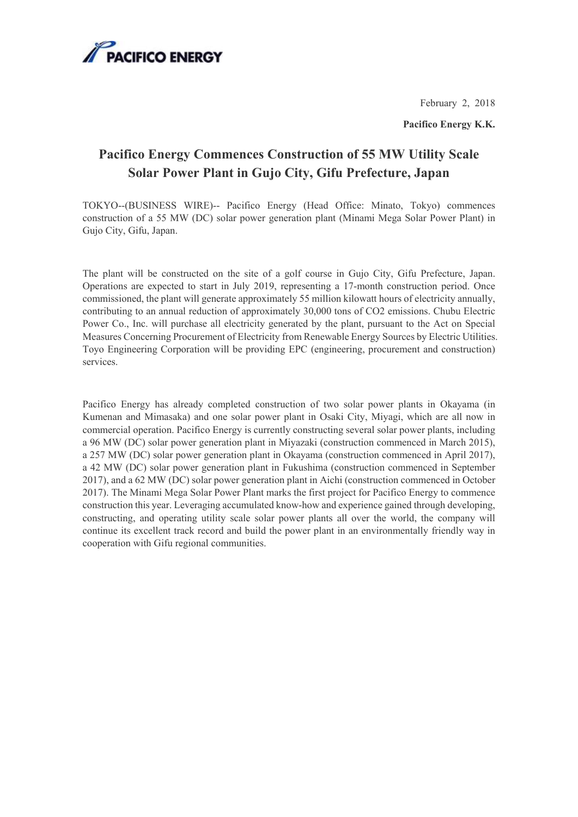

February 2, 2018

**Pacifico Energy K.K.** 

## **Pacifico Energy Commences Construction of 55 MW Utility Scale Solar Power Plant in Gujo City, Gifu Prefecture, Japan**

TOKYO--(BUSINESS WIRE)-- Pacifico Energy (Head Office: Minato, Tokyo) commences construction of a 55 MW (DC) solar power generation plant (Minami Mega Solar Power Plant) in Gujo City, Gifu, Japan.

The plant will be constructed on the site of a golf course in Gujo City, Gifu Prefecture, Japan. Operations are expected to start in July 2019, representing a 17-month construction period. Once commissioned, the plant will generate approximately 55 million kilowatt hours of electricity annually, contributing to an annual reduction of approximately 30,000 tons of CO2 emissions. Chubu Electric Power Co., Inc. will purchase all electricity generated by the plant, pursuant to the Act on Special Measures Concerning Procurement of Electricity from Renewable Energy Sources by Electric Utilities. Toyo Engineering Corporation will be providing EPC (engineering, procurement and construction) services.

Pacifico Energy has already completed construction of two solar power plants in Okayama (in Kumenan and Mimasaka) and one solar power plant in Osaki City, Miyagi, which are all now in commercial operation. Pacifico Energy is currently constructing several solar power plants, including a 96 MW (DC) solar power generation plant in Miyazaki (construction commenced in March 2015), a 257 MW (DC) solar power generation plant in Okayama (construction commenced in April 2017), a 42 MW (DC) solar power generation plant in Fukushima (construction commenced in September 2017), and a 62 MW (DC) solar power generation plant in Aichi (construction commenced in October 2017). The Minami Mega Solar Power Plant marks the first project for Pacifico Energy to commence construction this year. Leveraging accumulated know-how and experience gained through developing, constructing, and operating utility scale solar power plants all over the world, the company will continue its excellent track record and build the power plant in an environmentally friendly way in cooperation with Gifu regional communities.